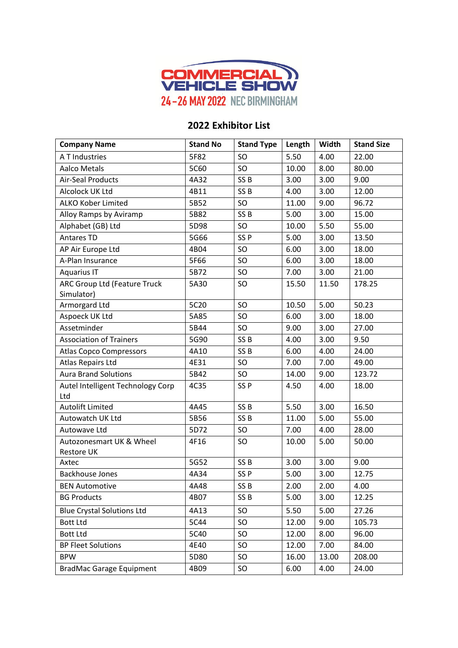

## **2022 Exhibitor List**

| <b>Company Name</b>                               | <b>Stand No</b> | <b>Stand Type</b> | Length | Width | <b>Stand Size</b> |
|---------------------------------------------------|-----------------|-------------------|--------|-------|-------------------|
| A T Industries                                    | 5F82            | SO                | 5.50   | 4.00  | 22.00             |
| <b>Aalco Metals</b>                               | 5C60            | SO                | 10.00  | 8.00  | 80.00             |
| <b>Air-Seal Products</b>                          | 4A32            | SS <sub>B</sub>   | 3.00   | 3.00  | 9.00              |
| Alcolock UK Ltd                                   | 4B11            | SS <sub>B</sub>   | 4.00   | 3.00  | 12.00             |
| <b>ALKO Kober Limited</b>                         | 5B52            | SO                | 11.00  | 9.00  | 96.72             |
| Alloy Ramps by Aviramp                            | 5B82            | SS <sub>B</sub>   | 5.00   | 3.00  | 15.00             |
| Alphabet (GB) Ltd                                 | 5D98            | SO                | 10.00  | 5.50  | 55.00             |
| Antares TD                                        | 5G66            | SS <sub>P</sub>   | 5.00   | 3.00  | 13.50             |
| AP Air Europe Ltd                                 | 4B04            | SO                | 6.00   | 3.00  | 18.00             |
| A-Plan Insurance                                  | 5F66            | SO                | 6.00   | 3.00  | 18.00             |
| <b>Aquarius IT</b>                                | 5B72            | SO                | 7.00   | 3.00  | 21.00             |
| <b>ARC Group Ltd (Feature Truck</b><br>Simulator) | 5A30            | SO                | 15.50  | 11.50 | 178.25            |
| Armorgard Ltd                                     | 5C20            | <b>SO</b>         | 10.50  | 5.00  | 50.23             |
| Aspoeck UK Ltd                                    | 5A85            | SO                | 6.00   | 3.00  | 18.00             |
| Assetminder                                       | 5B44            | SO                | 9.00   | 3.00  | 27.00             |
| <b>Association of Trainers</b>                    | 5G90            | SS <sub>B</sub>   | 4.00   | 3.00  | 9.50              |
| <b>Atlas Copco Compressors</b>                    | 4A10            | SS <sub>B</sub>   | 6.00   | 4.00  | 24.00             |
| <b>Atlas Repairs Ltd</b>                          | 4E31            | SO                | 7.00   | 7.00  | 49.00             |
| <b>Aura Brand Solutions</b>                       | 5B42            | SO                | 14.00  | 9.00  | 123.72            |
| Autel Intelligent Technology Corp<br>Ltd          | 4C35            | SS <sub>P</sub>   | 4.50   | 4.00  | 18.00             |
| <b>Autolift Limited</b>                           | 4A45            | SS <sub>B</sub>   | 5.50   | 3.00  | 16.50             |
| Autowatch UK Ltd                                  | 5B56            | SS <sub>B</sub>   | 11.00  | 5.00  | 55.00             |
| Autowave Ltd                                      | 5D72            | <b>SO</b>         | 7.00   | 4.00  | 28.00             |
| Autozonesmart UK & Wheel<br>Restore UK            | 4F16            | <b>SO</b>         | 10.00  | 5.00  | 50.00             |
| Axtec                                             | 5G52            | SS <sub>B</sub>   | 3.00   | 3.00  | 9.00              |
| <b>Backhouse Jones</b>                            | 4A34            | SS <sub>P</sub>   | 5.00   | 3.00  | 12.75             |
| <b>BEN Automotive</b>                             | 4A48            | SS <sub>B</sub>   | 2.00   | 2.00  | 4.00              |
| <b>BG Products</b>                                | 4B07            | SS <sub>B</sub>   | 5.00   | 3.00  | 12.25             |
| <b>Blue Crystal Solutions Ltd</b>                 | 4A13            | SO                | 5.50   | 5.00  | 27.26             |
| <b>Bott Ltd</b>                                   | 5C44            | <b>SO</b>         | 12.00  | 9.00  | 105.73            |
| <b>Bott Ltd</b>                                   | 5C40            | SO                | 12.00  | 8.00  | 96.00             |
| <b>BP Fleet Solutions</b>                         | 4E40            | <b>SO</b>         | 12.00  | 7.00  | 84.00             |
| <b>BPW</b>                                        | 5D80            | SO                | 16.00  | 13.00 | 208.00            |
| <b>BradMac Garage Equipment</b>                   | 4B09            | SO                | 6.00   | 4.00  | 24.00             |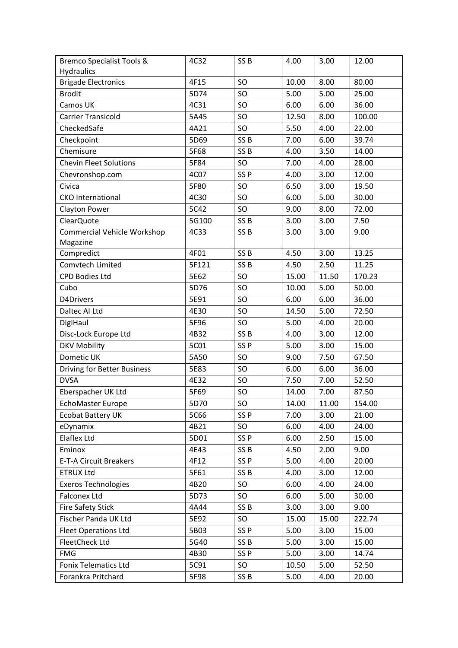| <b>Bremco Specialist Tools &amp;</b> | 4C32  | SS <sub>B</sub> | 4.00  | 3.00  | 12.00  |
|--------------------------------------|-------|-----------------|-------|-------|--------|
| <b>Hydraulics</b>                    |       |                 |       |       |        |
| <b>Brigade Electronics</b>           | 4F15  | SO              | 10.00 | 8.00  | 80.00  |
| <b>Brodit</b>                        | 5D74  | <b>SO</b>       | 5.00  | 5.00  | 25.00  |
| Camos UK                             | 4C31  | SO              | 6.00  | 6.00  | 36.00  |
| <b>Carrier Transicold</b>            | 5A45  | SO              | 12.50 | 8.00  | 100.00 |
| CheckedSafe                          | 4A21  | SO              | 5.50  | 4.00  | 22.00  |
| Checkpoint                           | 5D69  | SS <sub>B</sub> | 7.00  | 6.00  | 39.74  |
| Chemisure                            | 5F68  | SS <sub>B</sub> | 4.00  | 3.50  | 14.00  |
| <b>Chevin Fleet Solutions</b>        | 5F84  | SO              | 7.00  | 4.00  | 28.00  |
| Chevronshop.com                      | 4C07  | SS <sub>P</sub> | 4.00  | 3.00  | 12.00  |
| Civica                               | 5F80  | SO              | 6.50  | 3.00  | 19.50  |
| <b>CKO</b> International             | 4C30  | SO              | 6.00  | 5.00  | 30.00  |
| <b>Clayton Power</b>                 | 5C42  | SO              | 9.00  | 8.00  | 72.00  |
| ClearQuote                           | 5G100 | SS <sub>B</sub> | 3.00  | 3.00  | 7.50   |
| <b>Commercial Vehicle Workshop</b>   | 4C33  | SS <sub>B</sub> | 3.00  | 3.00  | 9.00   |
| Magazine                             |       |                 |       |       |        |
| Compredict                           | 4F01  | SS <sub>B</sub> | 4.50  | 3.00  | 13.25  |
| Comvtech Limited                     | 5F121 | SS <sub>B</sub> | 4.50  | 2.50  | 11.25  |
| <b>CPD Bodies Ltd</b>                | 5E62  | SO              | 15.00 | 11.50 | 170.23 |
| Cubo                                 | 5D76  | SO              | 10.00 | 5.00  | 50.00  |
| D4Drivers                            | 5E91  | SO              | 6.00  | 6.00  | 36.00  |
| Daltec Al Ltd                        | 4E30  | SO              | 14.50 | 5.00  | 72.50  |
| DigiHaul                             | 5F96  | SO              | 5.00  | 4.00  | 20.00  |
| Disc-Lock Europe Ltd                 | 4B32  | SS <sub>B</sub> | 4.00  | 3.00  | 12.00  |
| <b>DKV Mobility</b>                  | 5C01  | SS <sub>P</sub> | 5.00  | 3.00  | 15.00  |
| Dometic UK                           | 5A50  | SO              | 9.00  | 7.50  | 67.50  |
| <b>Driving for Better Business</b>   | 5E83  | SO              | 6.00  | 6.00  | 36.00  |
| <b>DVSA</b>                          | 4E32  | SO              | 7.50  | 7.00  | 52.50  |
| Eberspacher UK Ltd                   | 5F69  | SO              | 14.00 | 7.00  | 87.50  |
| EchoMaster Europe                    | 5D70  | SO.             | 14.00 | 11.00 | 154.00 |
| <b>Ecobat Battery UK</b>             | 5C66  | SS <sub>P</sub> | 7.00  | 3.00  | 21.00  |
| eDynamix                             | 4B21  | SO              | 6.00  | 4.00  | 24.00  |
| Elaflex Ltd                          | 5D01  | SS <sub>P</sub> | 6.00  | 2.50  | 15.00  |
| Eminox                               | 4E43  | SS <sub>B</sub> | 4.50  | 2.00  | 9.00   |
| E-T-A Circuit Breakers               | 4F12  | SS <sub>P</sub> | 5.00  | 4.00  | 20.00  |
| <b>ETRUX Ltd</b>                     | 5F61  | SS <sub>B</sub> | 4.00  | 3.00  | 12.00  |
| <b>Exeros Technologies</b>           | 4B20  | SO              | 6.00  | 4.00  | 24.00  |
| <b>Falconex Ltd</b>                  | 5D73  | SO              | 6.00  | 5.00  | 30.00  |
| <b>Fire Safety Stick</b>             | 4A44  | SS <sub>B</sub> | 3.00  | 3.00  | 9.00   |
| Fischer Panda UK Ltd                 | 5E92  | <b>SO</b>       | 15.00 | 15.00 | 222.74 |
| <b>Fleet Operations Ltd</b>          | 5B03  | SS <sub>P</sub> | 5.00  | 3.00  | 15.00  |
| FleetCheck Ltd                       | 5G40  | SS <sub>B</sub> | 5.00  | 3.00  | 15.00  |
| <b>FMG</b>                           | 4B30  | SS <sub>P</sub> | 5.00  | 3.00  | 14.74  |
| <b>Fonix Telematics Ltd</b>          | 5C91  | SO.             | 10.50 | 5.00  | 52.50  |
| Forankra Pritchard                   | 5F98  | SS <sub>B</sub> | 5.00  | 4.00  | 20.00  |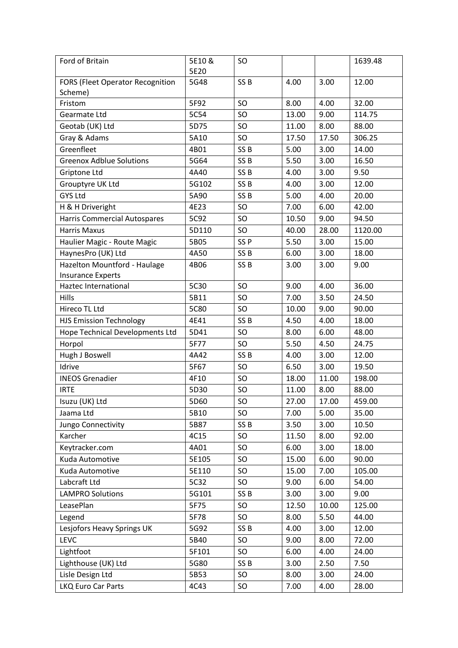| <b>FORS (Fleet Operator Recognition</b><br>5G48<br>SS <sub>B</sub><br>4.00<br>3.00<br>12.00<br>Scheme)<br>Fristom<br>5F92<br><b>SO</b><br>32.00<br>8.00<br>4.00<br>5C54<br>SO<br>9.00<br>114.75<br>Gearmate Ltd<br>13.00<br>Geotab (UK) Ltd<br>5D75<br><b>SO</b><br>11.00<br>8.00<br>88.00<br>Gray & Adams<br>5A10<br>SO<br>17.50<br>17.50<br>306.25<br>Greenfleet<br>SS <sub>B</sub><br>5.00<br>3.00<br>14.00<br>4B01<br><b>Greenox Adblue Solutions</b><br>5G64<br>SS <sub>B</sub><br>5.50<br>3.00<br>16.50<br>Griptone Ltd<br>SS <sub>B</sub><br>9.50<br>4A40<br>4.00<br>3.00<br>Grouptyre UK Ltd<br>5G102<br>SS <sub>B</sub><br>3.00<br>12.00<br>4.00<br><b>GYS Ltd</b><br>SS <sub>B</sub><br>5.00<br>5A90<br>4.00<br>20.00<br>H & H Driveright<br>4E23<br><b>SO</b><br>7.00<br>6.00<br>42.00<br><b>Harris Commercial Autospares</b><br>5C92<br>SO<br>10.50<br>9.00<br>94.50<br><b>Harris Maxus</b><br>5D110<br>1120.00<br><b>SO</b><br>40.00<br>28.00<br>Haulier Magic - Route Magic<br>5B05<br>SS <sub>P</sub><br>3.00<br>15.00<br>5.50<br>HaynesPro (UK) Ltd<br>4A50<br>SS <sub>B</sub><br>6.00<br>3.00<br>18.00<br>Hazelton Mountford - Haulage<br>SS <sub>B</sub><br>4B06<br>3.00<br>3.00<br>9.00<br><b>Insurance Experts</b><br>5C30<br>36.00<br>SO<br>9.00<br>4.00<br>Haztec International<br>Hills<br>5B11<br>SO<br>7.00<br>3.50<br>24.50<br>Hireco TL Ltd<br><b>5C80</b><br>SO<br>10.00<br>9.00<br>90.00<br>SS <sub>B</sub><br><b>HJS Emission Technology</b><br>4E41<br>4.50<br>4.00<br>18.00<br>Hope Technical Developments Ltd<br>5D41<br>SO<br>8.00<br>6.00<br>48.00<br>Horpol<br>24.75<br>5F77<br>SO<br>5.50<br>4.50<br>Hugh J Boswell<br>4A42<br>SS <sub>B</sub><br>12.00<br>4.00<br>3.00<br>Idrive<br>5F67<br>SO<br>6.50<br>3.00<br>19.50<br>11.00<br><b>INEOS Grenadier</b><br>4F10<br>SO<br>18.00<br>198.00<br>88.00<br><b>IRTE</b><br>5D30<br>SO<br>11.00<br>8.00<br>SO<br>27.00<br>17.00<br>Isuzu (UK) Ltd<br>5D60<br>459.00<br>Jaama Ltd<br>SO<br>5.00<br>35.00<br>5B10<br>7.00<br>SS <sub>B</sub><br>10.50<br>Jungo Connectivity<br>5B87<br>3.50<br>3.00<br>Karcher<br>4C15<br>92.00<br>SO<br>11.50<br>8.00<br>4A01<br>18.00<br>Keytracker.com<br>SO<br>6.00<br>3.00<br>5E105<br>90.00<br>Kuda Automotive<br>SO<br>15.00<br>6.00<br>Kuda Automotive<br>5E110<br>SO<br>15.00<br>7.00<br>105.00<br>Labcraft Ltd<br>54.00<br>5C32<br>SO<br>9.00<br>6.00<br><b>LAMPRO Solutions</b><br>SS <sub>B</sub><br>3.00<br>9.00<br>5G101<br>3.00<br>5F75<br>LeasePlan<br>SO<br>12.50<br>10.00<br>125.00<br>5F78<br>SO<br>8.00<br>5.50<br>44.00<br>Legend<br>Lesjofors Heavy Springs UK<br>5G92<br>SS <sub>B</sub><br>4.00<br>3.00<br>12.00<br>LEVC<br>72.00<br>5B40<br>SO<br>9.00<br>8.00<br>Lightfoot<br>5F101<br>SO<br>6.00<br>4.00<br>24.00<br>Lighthouse (UK) Ltd<br>5G80<br>SS <sub>B</sub><br>3.00<br>2.50<br>7.50<br>Lisle Design Ltd<br>24.00<br>5B53<br>SO<br>8.00<br>3.00 | Ford of Britain    | 5E10& | SO. |      |      | 1639.48 |
|--------------------------------------------------------------------------------------------------------------------------------------------------------------------------------------------------------------------------------------------------------------------------------------------------------------------------------------------------------------------------------------------------------------------------------------------------------------------------------------------------------------------------------------------------------------------------------------------------------------------------------------------------------------------------------------------------------------------------------------------------------------------------------------------------------------------------------------------------------------------------------------------------------------------------------------------------------------------------------------------------------------------------------------------------------------------------------------------------------------------------------------------------------------------------------------------------------------------------------------------------------------------------------------------------------------------------------------------------------------------------------------------------------------------------------------------------------------------------------------------------------------------------------------------------------------------------------------------------------------------------------------------------------------------------------------------------------------------------------------------------------------------------------------------------------------------------------------------------------------------------------------------------------------------------------------------------------------------------------------------------------------------------------------------------------------------------------------------------------------------------------------------------------------------------------------------------------------------------------------------------------------------------------------------------------------------------------------------------------------------------------------------------------------------------------------------------------------------------------------------------------------------------------------------------------------------------------------------------------------------------------------------------------------------------------------------------------------------------------------------------------------------------------------------------------------------------------------------------------------------------------------------------|--------------------|-------|-----|------|------|---------|
|                                                                                                                                                                                                                                                                                                                                                                                                                                                                                                                                                                                                                                                                                                                                                                                                                                                                                                                                                                                                                                                                                                                                                                                                                                                                                                                                                                                                                                                                                                                                                                                                                                                                                                                                                                                                                                                                                                                                                                                                                                                                                                                                                                                                                                                                                                                                                                                                                                                                                                                                                                                                                                                                                                                                                                                                                                                                                                  |                    | 5E20  |     |      |      |         |
|                                                                                                                                                                                                                                                                                                                                                                                                                                                                                                                                                                                                                                                                                                                                                                                                                                                                                                                                                                                                                                                                                                                                                                                                                                                                                                                                                                                                                                                                                                                                                                                                                                                                                                                                                                                                                                                                                                                                                                                                                                                                                                                                                                                                                                                                                                                                                                                                                                                                                                                                                                                                                                                                                                                                                                                                                                                                                                  |                    |       |     |      |      |         |
|                                                                                                                                                                                                                                                                                                                                                                                                                                                                                                                                                                                                                                                                                                                                                                                                                                                                                                                                                                                                                                                                                                                                                                                                                                                                                                                                                                                                                                                                                                                                                                                                                                                                                                                                                                                                                                                                                                                                                                                                                                                                                                                                                                                                                                                                                                                                                                                                                                                                                                                                                                                                                                                                                                                                                                                                                                                                                                  |                    |       |     |      |      |         |
|                                                                                                                                                                                                                                                                                                                                                                                                                                                                                                                                                                                                                                                                                                                                                                                                                                                                                                                                                                                                                                                                                                                                                                                                                                                                                                                                                                                                                                                                                                                                                                                                                                                                                                                                                                                                                                                                                                                                                                                                                                                                                                                                                                                                                                                                                                                                                                                                                                                                                                                                                                                                                                                                                                                                                                                                                                                                                                  |                    |       |     |      |      |         |
|                                                                                                                                                                                                                                                                                                                                                                                                                                                                                                                                                                                                                                                                                                                                                                                                                                                                                                                                                                                                                                                                                                                                                                                                                                                                                                                                                                                                                                                                                                                                                                                                                                                                                                                                                                                                                                                                                                                                                                                                                                                                                                                                                                                                                                                                                                                                                                                                                                                                                                                                                                                                                                                                                                                                                                                                                                                                                                  |                    |       |     |      |      |         |
|                                                                                                                                                                                                                                                                                                                                                                                                                                                                                                                                                                                                                                                                                                                                                                                                                                                                                                                                                                                                                                                                                                                                                                                                                                                                                                                                                                                                                                                                                                                                                                                                                                                                                                                                                                                                                                                                                                                                                                                                                                                                                                                                                                                                                                                                                                                                                                                                                                                                                                                                                                                                                                                                                                                                                                                                                                                                                                  |                    |       |     |      |      |         |
|                                                                                                                                                                                                                                                                                                                                                                                                                                                                                                                                                                                                                                                                                                                                                                                                                                                                                                                                                                                                                                                                                                                                                                                                                                                                                                                                                                                                                                                                                                                                                                                                                                                                                                                                                                                                                                                                                                                                                                                                                                                                                                                                                                                                                                                                                                                                                                                                                                                                                                                                                                                                                                                                                                                                                                                                                                                                                                  |                    |       |     |      |      |         |
|                                                                                                                                                                                                                                                                                                                                                                                                                                                                                                                                                                                                                                                                                                                                                                                                                                                                                                                                                                                                                                                                                                                                                                                                                                                                                                                                                                                                                                                                                                                                                                                                                                                                                                                                                                                                                                                                                                                                                                                                                                                                                                                                                                                                                                                                                                                                                                                                                                                                                                                                                                                                                                                                                                                                                                                                                                                                                                  |                    |       |     |      |      |         |
|                                                                                                                                                                                                                                                                                                                                                                                                                                                                                                                                                                                                                                                                                                                                                                                                                                                                                                                                                                                                                                                                                                                                                                                                                                                                                                                                                                                                                                                                                                                                                                                                                                                                                                                                                                                                                                                                                                                                                                                                                                                                                                                                                                                                                                                                                                                                                                                                                                                                                                                                                                                                                                                                                                                                                                                                                                                                                                  |                    |       |     |      |      |         |
|                                                                                                                                                                                                                                                                                                                                                                                                                                                                                                                                                                                                                                                                                                                                                                                                                                                                                                                                                                                                                                                                                                                                                                                                                                                                                                                                                                                                                                                                                                                                                                                                                                                                                                                                                                                                                                                                                                                                                                                                                                                                                                                                                                                                                                                                                                                                                                                                                                                                                                                                                                                                                                                                                                                                                                                                                                                                                                  |                    |       |     |      |      |         |
|                                                                                                                                                                                                                                                                                                                                                                                                                                                                                                                                                                                                                                                                                                                                                                                                                                                                                                                                                                                                                                                                                                                                                                                                                                                                                                                                                                                                                                                                                                                                                                                                                                                                                                                                                                                                                                                                                                                                                                                                                                                                                                                                                                                                                                                                                                                                                                                                                                                                                                                                                                                                                                                                                                                                                                                                                                                                                                  |                    |       |     |      |      |         |
|                                                                                                                                                                                                                                                                                                                                                                                                                                                                                                                                                                                                                                                                                                                                                                                                                                                                                                                                                                                                                                                                                                                                                                                                                                                                                                                                                                                                                                                                                                                                                                                                                                                                                                                                                                                                                                                                                                                                                                                                                                                                                                                                                                                                                                                                                                                                                                                                                                                                                                                                                                                                                                                                                                                                                                                                                                                                                                  |                    |       |     |      |      |         |
|                                                                                                                                                                                                                                                                                                                                                                                                                                                                                                                                                                                                                                                                                                                                                                                                                                                                                                                                                                                                                                                                                                                                                                                                                                                                                                                                                                                                                                                                                                                                                                                                                                                                                                                                                                                                                                                                                                                                                                                                                                                                                                                                                                                                                                                                                                                                                                                                                                                                                                                                                                                                                                                                                                                                                                                                                                                                                                  |                    |       |     |      |      |         |
|                                                                                                                                                                                                                                                                                                                                                                                                                                                                                                                                                                                                                                                                                                                                                                                                                                                                                                                                                                                                                                                                                                                                                                                                                                                                                                                                                                                                                                                                                                                                                                                                                                                                                                                                                                                                                                                                                                                                                                                                                                                                                                                                                                                                                                                                                                                                                                                                                                                                                                                                                                                                                                                                                                                                                                                                                                                                                                  |                    |       |     |      |      |         |
|                                                                                                                                                                                                                                                                                                                                                                                                                                                                                                                                                                                                                                                                                                                                                                                                                                                                                                                                                                                                                                                                                                                                                                                                                                                                                                                                                                                                                                                                                                                                                                                                                                                                                                                                                                                                                                                                                                                                                                                                                                                                                                                                                                                                                                                                                                                                                                                                                                                                                                                                                                                                                                                                                                                                                                                                                                                                                                  |                    |       |     |      |      |         |
|                                                                                                                                                                                                                                                                                                                                                                                                                                                                                                                                                                                                                                                                                                                                                                                                                                                                                                                                                                                                                                                                                                                                                                                                                                                                                                                                                                                                                                                                                                                                                                                                                                                                                                                                                                                                                                                                                                                                                                                                                                                                                                                                                                                                                                                                                                                                                                                                                                                                                                                                                                                                                                                                                                                                                                                                                                                                                                  |                    |       |     |      |      |         |
|                                                                                                                                                                                                                                                                                                                                                                                                                                                                                                                                                                                                                                                                                                                                                                                                                                                                                                                                                                                                                                                                                                                                                                                                                                                                                                                                                                                                                                                                                                                                                                                                                                                                                                                                                                                                                                                                                                                                                                                                                                                                                                                                                                                                                                                                                                                                                                                                                                                                                                                                                                                                                                                                                                                                                                                                                                                                                                  |                    |       |     |      |      |         |
|                                                                                                                                                                                                                                                                                                                                                                                                                                                                                                                                                                                                                                                                                                                                                                                                                                                                                                                                                                                                                                                                                                                                                                                                                                                                                                                                                                                                                                                                                                                                                                                                                                                                                                                                                                                                                                                                                                                                                                                                                                                                                                                                                                                                                                                                                                                                                                                                                                                                                                                                                                                                                                                                                                                                                                                                                                                                                                  |                    |       |     |      |      |         |
|                                                                                                                                                                                                                                                                                                                                                                                                                                                                                                                                                                                                                                                                                                                                                                                                                                                                                                                                                                                                                                                                                                                                                                                                                                                                                                                                                                                                                                                                                                                                                                                                                                                                                                                                                                                                                                                                                                                                                                                                                                                                                                                                                                                                                                                                                                                                                                                                                                                                                                                                                                                                                                                                                                                                                                                                                                                                                                  |                    |       |     |      |      |         |
|                                                                                                                                                                                                                                                                                                                                                                                                                                                                                                                                                                                                                                                                                                                                                                                                                                                                                                                                                                                                                                                                                                                                                                                                                                                                                                                                                                                                                                                                                                                                                                                                                                                                                                                                                                                                                                                                                                                                                                                                                                                                                                                                                                                                                                                                                                                                                                                                                                                                                                                                                                                                                                                                                                                                                                                                                                                                                                  |                    |       |     |      |      |         |
|                                                                                                                                                                                                                                                                                                                                                                                                                                                                                                                                                                                                                                                                                                                                                                                                                                                                                                                                                                                                                                                                                                                                                                                                                                                                                                                                                                                                                                                                                                                                                                                                                                                                                                                                                                                                                                                                                                                                                                                                                                                                                                                                                                                                                                                                                                                                                                                                                                                                                                                                                                                                                                                                                                                                                                                                                                                                                                  |                    |       |     |      |      |         |
|                                                                                                                                                                                                                                                                                                                                                                                                                                                                                                                                                                                                                                                                                                                                                                                                                                                                                                                                                                                                                                                                                                                                                                                                                                                                                                                                                                                                                                                                                                                                                                                                                                                                                                                                                                                                                                                                                                                                                                                                                                                                                                                                                                                                                                                                                                                                                                                                                                                                                                                                                                                                                                                                                                                                                                                                                                                                                                  |                    |       |     |      |      |         |
|                                                                                                                                                                                                                                                                                                                                                                                                                                                                                                                                                                                                                                                                                                                                                                                                                                                                                                                                                                                                                                                                                                                                                                                                                                                                                                                                                                                                                                                                                                                                                                                                                                                                                                                                                                                                                                                                                                                                                                                                                                                                                                                                                                                                                                                                                                                                                                                                                                                                                                                                                                                                                                                                                                                                                                                                                                                                                                  |                    |       |     |      |      |         |
|                                                                                                                                                                                                                                                                                                                                                                                                                                                                                                                                                                                                                                                                                                                                                                                                                                                                                                                                                                                                                                                                                                                                                                                                                                                                                                                                                                                                                                                                                                                                                                                                                                                                                                                                                                                                                                                                                                                                                                                                                                                                                                                                                                                                                                                                                                                                                                                                                                                                                                                                                                                                                                                                                                                                                                                                                                                                                                  |                    |       |     |      |      |         |
|                                                                                                                                                                                                                                                                                                                                                                                                                                                                                                                                                                                                                                                                                                                                                                                                                                                                                                                                                                                                                                                                                                                                                                                                                                                                                                                                                                                                                                                                                                                                                                                                                                                                                                                                                                                                                                                                                                                                                                                                                                                                                                                                                                                                                                                                                                                                                                                                                                                                                                                                                                                                                                                                                                                                                                                                                                                                                                  |                    |       |     |      |      |         |
|                                                                                                                                                                                                                                                                                                                                                                                                                                                                                                                                                                                                                                                                                                                                                                                                                                                                                                                                                                                                                                                                                                                                                                                                                                                                                                                                                                                                                                                                                                                                                                                                                                                                                                                                                                                                                                                                                                                                                                                                                                                                                                                                                                                                                                                                                                                                                                                                                                                                                                                                                                                                                                                                                                                                                                                                                                                                                                  |                    |       |     |      |      |         |
|                                                                                                                                                                                                                                                                                                                                                                                                                                                                                                                                                                                                                                                                                                                                                                                                                                                                                                                                                                                                                                                                                                                                                                                                                                                                                                                                                                                                                                                                                                                                                                                                                                                                                                                                                                                                                                                                                                                                                                                                                                                                                                                                                                                                                                                                                                                                                                                                                                                                                                                                                                                                                                                                                                                                                                                                                                                                                                  |                    |       |     |      |      |         |
|                                                                                                                                                                                                                                                                                                                                                                                                                                                                                                                                                                                                                                                                                                                                                                                                                                                                                                                                                                                                                                                                                                                                                                                                                                                                                                                                                                                                                                                                                                                                                                                                                                                                                                                                                                                                                                                                                                                                                                                                                                                                                                                                                                                                                                                                                                                                                                                                                                                                                                                                                                                                                                                                                                                                                                                                                                                                                                  |                    |       |     |      |      |         |
|                                                                                                                                                                                                                                                                                                                                                                                                                                                                                                                                                                                                                                                                                                                                                                                                                                                                                                                                                                                                                                                                                                                                                                                                                                                                                                                                                                                                                                                                                                                                                                                                                                                                                                                                                                                                                                                                                                                                                                                                                                                                                                                                                                                                                                                                                                                                                                                                                                                                                                                                                                                                                                                                                                                                                                                                                                                                                                  |                    |       |     |      |      |         |
|                                                                                                                                                                                                                                                                                                                                                                                                                                                                                                                                                                                                                                                                                                                                                                                                                                                                                                                                                                                                                                                                                                                                                                                                                                                                                                                                                                                                                                                                                                                                                                                                                                                                                                                                                                                                                                                                                                                                                                                                                                                                                                                                                                                                                                                                                                                                                                                                                                                                                                                                                                                                                                                                                                                                                                                                                                                                                                  |                    |       |     |      |      |         |
|                                                                                                                                                                                                                                                                                                                                                                                                                                                                                                                                                                                                                                                                                                                                                                                                                                                                                                                                                                                                                                                                                                                                                                                                                                                                                                                                                                                                                                                                                                                                                                                                                                                                                                                                                                                                                                                                                                                                                                                                                                                                                                                                                                                                                                                                                                                                                                                                                                                                                                                                                                                                                                                                                                                                                                                                                                                                                                  |                    |       |     |      |      |         |
|                                                                                                                                                                                                                                                                                                                                                                                                                                                                                                                                                                                                                                                                                                                                                                                                                                                                                                                                                                                                                                                                                                                                                                                                                                                                                                                                                                                                                                                                                                                                                                                                                                                                                                                                                                                                                                                                                                                                                                                                                                                                                                                                                                                                                                                                                                                                                                                                                                                                                                                                                                                                                                                                                                                                                                                                                                                                                                  |                    |       |     |      |      |         |
|                                                                                                                                                                                                                                                                                                                                                                                                                                                                                                                                                                                                                                                                                                                                                                                                                                                                                                                                                                                                                                                                                                                                                                                                                                                                                                                                                                                                                                                                                                                                                                                                                                                                                                                                                                                                                                                                                                                                                                                                                                                                                                                                                                                                                                                                                                                                                                                                                                                                                                                                                                                                                                                                                                                                                                                                                                                                                                  |                    |       |     |      |      |         |
|                                                                                                                                                                                                                                                                                                                                                                                                                                                                                                                                                                                                                                                                                                                                                                                                                                                                                                                                                                                                                                                                                                                                                                                                                                                                                                                                                                                                                                                                                                                                                                                                                                                                                                                                                                                                                                                                                                                                                                                                                                                                                                                                                                                                                                                                                                                                                                                                                                                                                                                                                                                                                                                                                                                                                                                                                                                                                                  |                    |       |     |      |      |         |
|                                                                                                                                                                                                                                                                                                                                                                                                                                                                                                                                                                                                                                                                                                                                                                                                                                                                                                                                                                                                                                                                                                                                                                                                                                                                                                                                                                                                                                                                                                                                                                                                                                                                                                                                                                                                                                                                                                                                                                                                                                                                                                                                                                                                                                                                                                                                                                                                                                                                                                                                                                                                                                                                                                                                                                                                                                                                                                  |                    |       |     |      |      |         |
|                                                                                                                                                                                                                                                                                                                                                                                                                                                                                                                                                                                                                                                                                                                                                                                                                                                                                                                                                                                                                                                                                                                                                                                                                                                                                                                                                                                                                                                                                                                                                                                                                                                                                                                                                                                                                                                                                                                                                                                                                                                                                                                                                                                                                                                                                                                                                                                                                                                                                                                                                                                                                                                                                                                                                                                                                                                                                                  |                    |       |     |      |      |         |
|                                                                                                                                                                                                                                                                                                                                                                                                                                                                                                                                                                                                                                                                                                                                                                                                                                                                                                                                                                                                                                                                                                                                                                                                                                                                                                                                                                                                                                                                                                                                                                                                                                                                                                                                                                                                                                                                                                                                                                                                                                                                                                                                                                                                                                                                                                                                                                                                                                                                                                                                                                                                                                                                                                                                                                                                                                                                                                  |                    |       |     |      |      |         |
|                                                                                                                                                                                                                                                                                                                                                                                                                                                                                                                                                                                                                                                                                                                                                                                                                                                                                                                                                                                                                                                                                                                                                                                                                                                                                                                                                                                                                                                                                                                                                                                                                                                                                                                                                                                                                                                                                                                                                                                                                                                                                                                                                                                                                                                                                                                                                                                                                                                                                                                                                                                                                                                                                                                                                                                                                                                                                                  |                    |       |     |      |      |         |
|                                                                                                                                                                                                                                                                                                                                                                                                                                                                                                                                                                                                                                                                                                                                                                                                                                                                                                                                                                                                                                                                                                                                                                                                                                                                                                                                                                                                                                                                                                                                                                                                                                                                                                                                                                                                                                                                                                                                                                                                                                                                                                                                                                                                                                                                                                                                                                                                                                                                                                                                                                                                                                                                                                                                                                                                                                                                                                  |                    |       |     |      |      |         |
|                                                                                                                                                                                                                                                                                                                                                                                                                                                                                                                                                                                                                                                                                                                                                                                                                                                                                                                                                                                                                                                                                                                                                                                                                                                                                                                                                                                                                                                                                                                                                                                                                                                                                                                                                                                                                                                                                                                                                                                                                                                                                                                                                                                                                                                                                                                                                                                                                                                                                                                                                                                                                                                                                                                                                                                                                                                                                                  |                    |       |     |      |      |         |
|                                                                                                                                                                                                                                                                                                                                                                                                                                                                                                                                                                                                                                                                                                                                                                                                                                                                                                                                                                                                                                                                                                                                                                                                                                                                                                                                                                                                                                                                                                                                                                                                                                                                                                                                                                                                                                                                                                                                                                                                                                                                                                                                                                                                                                                                                                                                                                                                                                                                                                                                                                                                                                                                                                                                                                                                                                                                                                  |                    |       |     |      |      |         |
|                                                                                                                                                                                                                                                                                                                                                                                                                                                                                                                                                                                                                                                                                                                                                                                                                                                                                                                                                                                                                                                                                                                                                                                                                                                                                                                                                                                                                                                                                                                                                                                                                                                                                                                                                                                                                                                                                                                                                                                                                                                                                                                                                                                                                                                                                                                                                                                                                                                                                                                                                                                                                                                                                                                                                                                                                                                                                                  |                    |       |     |      |      |         |
|                                                                                                                                                                                                                                                                                                                                                                                                                                                                                                                                                                                                                                                                                                                                                                                                                                                                                                                                                                                                                                                                                                                                                                                                                                                                                                                                                                                                                                                                                                                                                                                                                                                                                                                                                                                                                                                                                                                                                                                                                                                                                                                                                                                                                                                                                                                                                                                                                                                                                                                                                                                                                                                                                                                                                                                                                                                                                                  |                    |       |     |      |      |         |
|                                                                                                                                                                                                                                                                                                                                                                                                                                                                                                                                                                                                                                                                                                                                                                                                                                                                                                                                                                                                                                                                                                                                                                                                                                                                                                                                                                                                                                                                                                                                                                                                                                                                                                                                                                                                                                                                                                                                                                                                                                                                                                                                                                                                                                                                                                                                                                                                                                                                                                                                                                                                                                                                                                                                                                                                                                                                                                  |                    |       |     |      |      |         |
|                                                                                                                                                                                                                                                                                                                                                                                                                                                                                                                                                                                                                                                                                                                                                                                                                                                                                                                                                                                                                                                                                                                                                                                                                                                                                                                                                                                                                                                                                                                                                                                                                                                                                                                                                                                                                                                                                                                                                                                                                                                                                                                                                                                                                                                                                                                                                                                                                                                                                                                                                                                                                                                                                                                                                                                                                                                                                                  |                    |       |     |      |      |         |
|                                                                                                                                                                                                                                                                                                                                                                                                                                                                                                                                                                                                                                                                                                                                                                                                                                                                                                                                                                                                                                                                                                                                                                                                                                                                                                                                                                                                                                                                                                                                                                                                                                                                                                                                                                                                                                                                                                                                                                                                                                                                                                                                                                                                                                                                                                                                                                                                                                                                                                                                                                                                                                                                                                                                                                                                                                                                                                  | LKQ Euro Car Parts | 4C43  | SO  | 7.00 | 4.00 | 28.00   |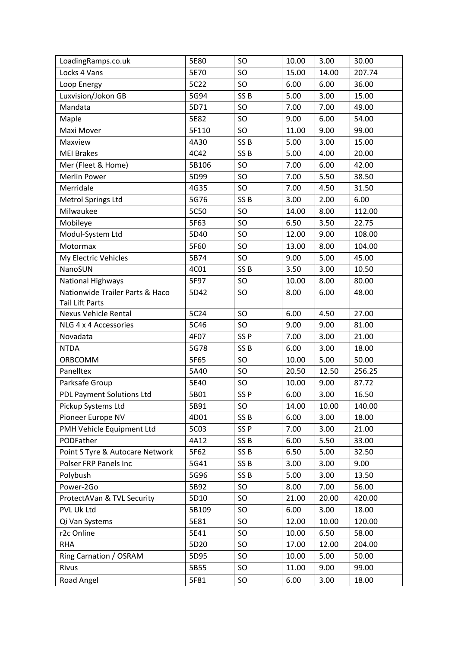| LoadingRamps.co.uk              | 5E80  | SO              | 10.00 | 3.00  | 30.00  |
|---------------------------------|-------|-----------------|-------|-------|--------|
| Locks 4 Vans                    | 5E70  | SO              | 15.00 | 14.00 | 207.74 |
| Loop Energy                     | 5C22  | SO              | 6.00  | 6.00  | 36.00  |
| Luxvision/Jokon GB              | 5G94  | SS <sub>B</sub> | 5.00  | 3.00  | 15.00  |
| Mandata                         | 5D71  | SO              | 7.00  | 7.00  | 49.00  |
| Maple                           | 5E82  | SO              | 9.00  | 6.00  | 54.00  |
| Maxi Mover                      | 5F110 | SO              | 11.00 | 9.00  | 99.00  |
| Maxview                         | 4A30  | SS <sub>B</sub> | 5.00  | 3.00  | 15.00  |
| <b>MEI Brakes</b>               | 4C42  | SS <sub>B</sub> | 5.00  | 4.00  | 20.00  |
| Mer (Fleet & Home)              | 5B106 | SO              | 7.00  | 6.00  | 42.00  |
| Merlin Power                    | 5D99  | SO              | 7.00  | 5.50  | 38.50  |
| Merridale                       | 4G35  | SO              | 7.00  | 4.50  | 31.50  |
| Metrol Springs Ltd              | 5G76  | SS <sub>B</sub> | 3.00  | 2.00  | 6.00   |
| Milwaukee                       | 5C50  | SO              | 14.00 | 8.00  | 112.00 |
| Mobileye                        | 5F63  | SO              | 6.50  | 3.50  | 22.75  |
| Modul-System Ltd                | 5D40  | SO              | 12.00 | 9.00  | 108.00 |
| Motormax                        | 5F60  | SO              | 13.00 | 8.00  | 104.00 |
| My Electric Vehicles            | 5B74  | SO              | 9.00  | 5.00  | 45.00  |
| NanoSUN                         | 4C01  | SS <sub>B</sub> | 3.50  | 3.00  | 10.50  |
| <b>National Highways</b>        | 5F97  | SO              | 10.00 | 8.00  | 80.00  |
| Nationwide Trailer Parts & Haco | 5D42  | SO              | 8.00  | 6.00  | 48.00  |
| <b>Tail Lift Parts</b>          |       |                 |       |       |        |
| <b>Nexus Vehicle Rental</b>     | 5C24  | SO              | 6.00  | 4.50  | 27.00  |
| NLG 4 x 4 Accessories           | 5C46  | SO              | 9.00  | 9.00  | 81.00  |
| Novadata                        | 4F07  | SS <sub>P</sub> | 7.00  | 3.00  | 21.00  |
| <b>NTDA</b>                     | 5G78  | SS <sub>B</sub> | 6.00  | 3.00  | 18.00  |
| ORBCOMM                         | 5F65  | SO              | 10.00 | 5.00  | 50.00  |
| Panelltex                       | 5A40  | SO              | 20.50 | 12.50 | 256.25 |
| Parksafe Group                  | 5E40  | SO              | 10.00 | 9.00  | 87.72  |
| PDL Payment Solutions Ltd       | 5B01  | SS <sub>P</sub> | 6.00  | 3.00  | 16.50  |
| Pickup Systems Ltd              | 5B91  | SO              | 14.00 | 10.00 | 140.00 |
| Pioneer Europe NV               | 4D01  | SS <sub>B</sub> | 6.00  | 3.00  | 18.00  |
| PMH Vehicle Equipment Ltd       | 5C03  | SS <sub>P</sub> | 7.00  | 3.00  | 21.00  |
| PODFather                       | 4A12  | SS <sub>B</sub> | 6.00  | 5.50  | 33.00  |
| Point S Tyre & Autocare Network | 5F62  | SS <sub>B</sub> | 6.50  | 5.00  | 32.50  |
| Polser FRP Panels Inc           | 5G41  | SS <sub>B</sub> | 3.00  | 3.00  | 9.00   |
| Polybush                        | 5G96  | SS <sub>B</sub> | 5.00  | 3.00  | 13.50  |
| Power-2Go                       | 5B92  | <b>SO</b>       | 8.00  | 7.00  | 56.00  |
| ProtectAVan & TVL Security      | 5D10  | SO              | 21.00 | 20.00 | 420.00 |
| PVL Uk Ltd                      | 5B109 | SO              | 6.00  | 3.00  | 18.00  |
| Qi Van Systems                  | 5E81  | SO              | 12.00 | 10.00 | 120.00 |
| r2c Online                      | 5E41  | SO              | 10.00 | 6.50  | 58.00  |
| <b>RHA</b>                      | 5D20  | SO              | 17.00 | 12.00 | 204.00 |
| Ring Carnation / OSRAM          | 5D95  | SO              | 10.00 | 5.00  | 50.00  |
| Rivus                           | 5B55  | SO              | 11.00 | 9.00  | 99.00  |
| Road Angel                      | 5F81  | SO              | 6.00  | 3.00  | 18.00  |
|                                 |       |                 |       |       |        |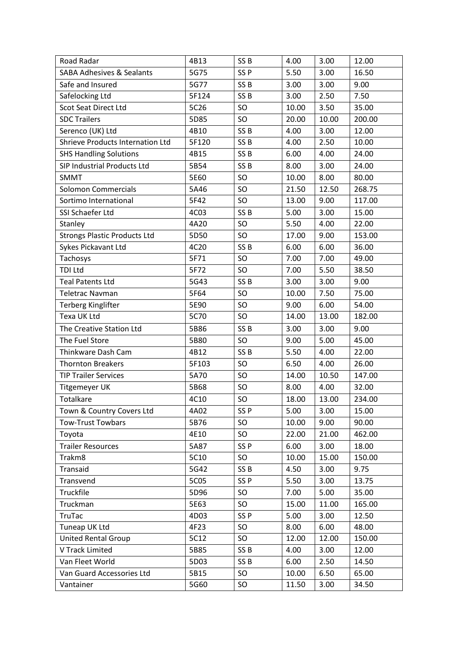| Road Radar                           | 4B13  | SS <sub>B</sub> | 4.00  | 3.00  | 12.00  |
|--------------------------------------|-------|-----------------|-------|-------|--------|
| <b>SABA Adhesives &amp; Sealants</b> | 5G75  | SS <sub>P</sub> | 5.50  | 3.00  | 16.50  |
| Safe and Insured                     | 5G77  | SS <sub>B</sub> | 3.00  | 3.00  | 9.00   |
| Safelocking Ltd                      | 5F124 | SS <sub>B</sub> | 3.00  | 2.50  | 7.50   |
| <b>Scot Seat Direct Ltd</b>          | 5C26  | SO              | 10.00 | 3.50  | 35.00  |
| <b>SDC Trailers</b>                  | 5D85  | SO              | 20.00 | 10.00 | 200.00 |
| Serenco (UK) Ltd                     | 4B10  | SS <sub>B</sub> | 4.00  | 3.00  | 12.00  |
| Shrieve Products Internation Ltd     | 5F120 | SS <sub>B</sub> | 4.00  | 2.50  | 10.00  |
| <b>SHS Handling Solutions</b>        | 4B15  | SS <sub>B</sub> | 6.00  | 4.00  | 24.00  |
| SIP Industrial Products Ltd          | 5B54  | SS <sub>B</sub> | 8.00  | 3.00  | 24.00  |
| <b>SMMT</b>                          | 5E60  | <b>SO</b>       | 10.00 | 8.00  | 80.00  |
| <b>Solomon Commercials</b>           | 5A46  | <b>SO</b>       | 21.50 | 12.50 | 268.75 |
| Sortimo International                | 5F42  | SO              | 13.00 | 9.00  | 117.00 |
| SSI Schaefer Ltd                     | 4C03  | SS <sub>B</sub> | 5.00  | 3.00  | 15.00  |
| Stanley                              | 4A20  | SO              | 5.50  | 4.00  | 22.00  |
| <b>Strongs Plastic Products Ltd</b>  | 5D50  | SO              | 17.00 | 9.00  | 153.00 |
| Sykes Pickavant Ltd                  | 4C20  | SS <sub>B</sub> | 6.00  | 6.00  | 36.00  |
| Tachosys                             | 5F71  | SO              | 7.00  | 7.00  | 49.00  |
| <b>TDI Ltd</b>                       | 5F72  | SO              | 7.00  | 5.50  | 38.50  |
| <b>Teal Patents Ltd</b>              | 5G43  | SS <sub>B</sub> | 3.00  | 3.00  | 9.00   |
| <b>Teletrac Navman</b>               | 5F64  | SO              | 10.00 | 7.50  | 75.00  |
| <b>Terberg Kinglifter</b>            | 5E90  | <b>SO</b>       | 9.00  | 6.00  | 54.00  |
| Texa UK Ltd                          | 5C70  | SO              | 14.00 | 13.00 | 182.00 |
| The Creative Station Ltd             | 5B86  | SS <sub>B</sub> | 3.00  | 3.00  | 9.00   |
| The Fuel Store                       | 5B80  | SO              | 9.00  | 5.00  | 45.00  |
| Thinkware Dash Cam                   | 4B12  | SS <sub>B</sub> | 5.50  | 4.00  | 22.00  |
| <b>Thornton Breakers</b>             | 5F103 | SO              | 6.50  | 4.00  | 26.00  |
| <b>TIP Trailer Services</b>          | 5A70  | SO              | 14.00 | 10.50 | 147.00 |
| <b>Titgemeyer UK</b>                 | 5B68  | SO              | 8.00  | 4.00  | 32.00  |
| <b>Totalkare</b>                     | 4C10  | SO              | 18.00 | 13.00 | 234.00 |
| Town & Country Covers Ltd            | 4A02  | SS <sub>P</sub> | 5.00  | 3.00  | 15.00  |
| <b>Tow-Trust Towbars</b>             | 5B76  | SO              | 10.00 | 9.00  | 90.00  |
| Toyota                               | 4E10  | SO              | 22.00 | 21.00 | 462.00 |
| <b>Trailer Resources</b>             | 5A87  | SS <sub>P</sub> | 6.00  | 3.00  | 18.00  |
| Trakm8                               | 5C10  | SO              | 10.00 | 15.00 | 150.00 |
| Transaid                             | 5G42  | SS <sub>B</sub> | 4.50  | 3.00  | 9.75   |
| Transvend                            | 5C05  | SS <sub>P</sub> | 5.50  | 3.00  | 13.75  |
| Truckfile                            | 5D96  | SO              | 7.00  | 5.00  | 35.00  |
| Truckman                             | 5E63  | SO              | 15.00 | 11.00 | 165.00 |
| <b>TruTac</b>                        | 4D03  | SS <sub>P</sub> | 5.00  | 3.00  | 12.50  |
| Tuneap UK Ltd                        | 4F23  | SO.             | 8.00  | 6.00  | 48.00  |
| <b>United Rental Group</b>           | 5C12  | SO              | 12.00 | 12.00 | 150.00 |
| V Track Limited                      | 5B85  | SS <sub>B</sub> | 4.00  | 3.00  | 12.00  |
| Van Fleet World                      | 5D03  | SS <sub>B</sub> | 6.00  | 2.50  | 14.50  |
| Van Guard Accessories Ltd            | 5B15  | SO.             | 10.00 | 6.50  | 65.00  |
| Vantainer                            | 5G60  | SO              | 11.50 | 3.00  | 34.50  |